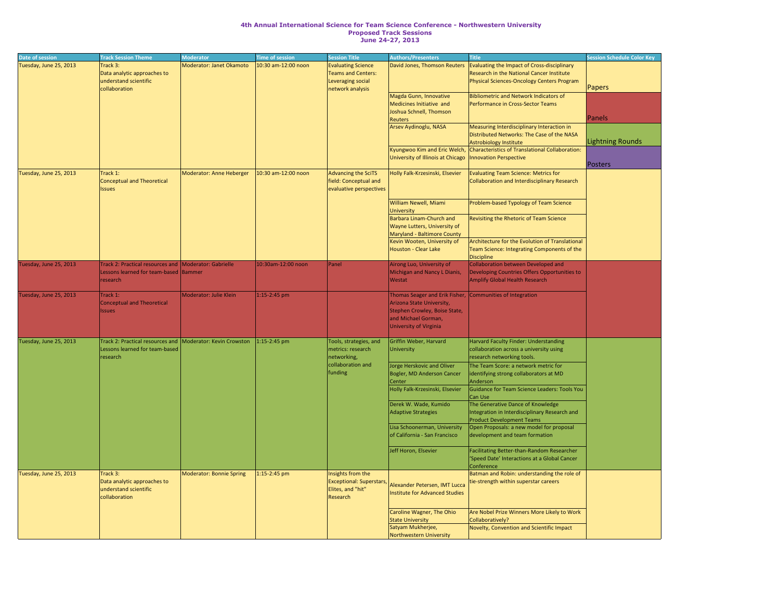## **4th Annual International Science for Team Science Conference - Northwestern University Proposed Track Sessions June 24-27, 2013**

| Date of session        | <b>Track Session Theme</b>                                  | <b>Moderator</b>         | <b>Time of session</b> | <b>Session Title</b>            | <b>Authors/Presenters</b>                                  | <b>Title</b>                                       | <b>Session Schedule Color Key</b> |
|------------------------|-------------------------------------------------------------|--------------------------|------------------------|---------------------------------|------------------------------------------------------------|----------------------------------------------------|-----------------------------------|
| Tuesday, June 25, 2013 | Track 3:                                                    | Moderator: Janet Okamoto | 10:30 am-12:00 noon    | <b>Evaluating Science</b>       | David Jones, Thomson Reuters                               | <b>Evaluating the Impact of Cross-disciplinary</b> |                                   |
|                        | Data analytic approaches to                                 |                          |                        | Teams and Centers:              |                                                            | <b>Research in the National Cancer Institute</b>   |                                   |
|                        | understand scientific                                       |                          |                        | Leveraging social               |                                                            | Physical Sciences-Oncology Centers Program         |                                   |
|                        | collaboration                                               |                          |                        | network analysis                |                                                            |                                                    | <b>Papers</b>                     |
|                        |                                                             |                          |                        |                                 |                                                            |                                                    |                                   |
|                        |                                                             |                          |                        |                                 | Magda Gunn, Innovative                                     | <b>Bibliometric and Network Indicators of</b>      |                                   |
|                        |                                                             |                          |                        |                                 | Medicines Initiative and                                   | Performance in Cross-Sector Teams                  |                                   |
|                        |                                                             |                          |                        |                                 | Joshua Schnell, Thomson                                    |                                                    |                                   |
|                        |                                                             |                          |                        |                                 | Reuters                                                    |                                                    | Panels                            |
|                        |                                                             |                          |                        |                                 | Arsev Aydinoglu, NASA                                      | Measuring Interdisciplinary Interaction in         |                                   |
|                        |                                                             |                          |                        |                                 |                                                            |                                                    |                                   |
|                        |                                                             |                          |                        |                                 |                                                            | Distributed Networks: The Case of the NASA         |                                   |
|                        |                                                             |                          |                        |                                 |                                                            | Astrobiology Institute                             | Lightning Rounds                  |
|                        |                                                             |                          |                        |                                 | Kyungwoo Kim and Eric Welch,                               | Characteristics of Translational Collaboration:    |                                   |
|                        |                                                             |                          |                        |                                 | University of Illinois at Chicago   Innovation Perspective |                                                    |                                   |
|                        |                                                             |                          |                        |                                 |                                                            |                                                    | Posters                           |
| Tuesday, June 25, 2013 | Track 1:                                                    | Moderator: Anne Heberger | 10:30 am-12:00 noon    | Advancing the SciTS             | Holly Falk-Krzesinski, Elsevier                            | <b>Evaluating Team Science: Metrics for</b>        |                                   |
|                        |                                                             |                          |                        |                                 |                                                            |                                                    |                                   |
|                        | Conceptual and Theoretical                                  |                          |                        | field: Conceptual and           |                                                            | Collaboration and Interdisciplinary Research       |                                   |
|                        | <b>Issues</b>                                               |                          |                        | evaluative perspectives         |                                                            |                                                    |                                   |
|                        |                                                             |                          |                        |                                 |                                                            |                                                    |                                   |
|                        |                                                             |                          |                        |                                 | <b>William Newell, Miami</b>                               | Problem-based Typology of Team Science             |                                   |
|                        |                                                             |                          |                        |                                 | <b>University</b>                                          |                                                    |                                   |
|                        |                                                             |                          |                        |                                 |                                                            |                                                    |                                   |
|                        |                                                             |                          |                        |                                 | Barbara Linam-Church and                                   | <b>Revisiting the Rhetoric of Team Science</b>     |                                   |
|                        |                                                             |                          |                        |                                 | <b>Wayne Lutters, University of</b>                        |                                                    |                                   |
|                        |                                                             |                          |                        |                                 | Maryland - Baltimore County                                |                                                    |                                   |
|                        |                                                             |                          |                        |                                 | Kevin Wooten, University of                                | Architecture for the Evolution of Translational    |                                   |
|                        |                                                             |                          |                        |                                 | Houston - Clear Lake                                       | Team Science: Integrating Components of the        |                                   |
|                        |                                                             |                          |                        |                                 |                                                            |                                                    |                                   |
|                        |                                                             |                          |                        |                                 |                                                            | Discipline                                         |                                   |
| Tuesday, June 25, 2013 | Track 2: Practical resources and Moderator: Gabrielle       |                          | 10:30am-12:00 noon     | Panel                           | Airong Luo, University of                                  | Collaboration between Developed and                |                                   |
|                        | Lessons learned for team-based Bammer                       |                          |                        |                                 | Michigan and Nancy L Dianis,                               | Developing Countries Offers Opportunities to       |                                   |
|                        | research                                                    |                          |                        |                                 | Westat                                                     | <b>Amplify Global Health Research</b>              |                                   |
|                        |                                                             |                          |                        |                                 |                                                            |                                                    |                                   |
|                        |                                                             |                          |                        |                                 |                                                            |                                                    |                                   |
| Tuesday, June 25, 2013 | Track 1:                                                    | Moderator: Julie Klein   | $1:15-2:45$ pm         |                                 | Thomas Seager and Erik Fisher,                             | Communities of Integration                         |                                   |
|                        | Conceptual and Theoretical                                  |                          |                        |                                 | Arizona State University,                                  |                                                    |                                   |
|                        | <b>Issues</b>                                               |                          |                        |                                 | Stephen Crowley, Boise State,                              |                                                    |                                   |
|                        |                                                             |                          |                        |                                 | and Michael Gorman,                                        |                                                    |                                   |
|                        |                                                             |                          |                        |                                 | <b>University of Virginia</b>                              |                                                    |                                   |
|                        |                                                             |                          |                        |                                 |                                                            |                                                    |                                   |
|                        |                                                             |                          |                        |                                 |                                                            |                                                    |                                   |
| Tuesday, June 25, 2013 | Track 2: Practical resources and  Moderator: Kevin Crowston |                          | $1:15-2:45$ pm         | Tools, strategies, and          | Griffin Weber, Harvard                                     | Harvard Faculty Finder: Understanding              |                                   |
|                        | Lessons learned for team-based                              |                          |                        | metrics: research               | University                                                 | collaboration across a university using            |                                   |
|                        | research                                                    |                          |                        | networking,                     |                                                            | research networking tools.                         |                                   |
|                        |                                                             |                          |                        | collaboration and               |                                                            |                                                    |                                   |
|                        |                                                             |                          |                        |                                 | Jorge Herskovic and Oliver                                 | The Team Score: a network metric for               |                                   |
|                        |                                                             |                          |                        | funding                         | Bogler, MD Anderson Cancer                                 | identifying strong collaborators at MD             |                                   |
|                        |                                                             |                          |                        |                                 | <b>Center</b>                                              | Anderson                                           |                                   |
|                        |                                                             |                          |                        |                                 | Holly Falk-Krzesinski, Elsevier                            | Guidance for Team Science Leaders: Tools You       |                                   |
|                        |                                                             |                          |                        |                                 |                                                            | Can Use                                            |                                   |
|                        |                                                             |                          |                        |                                 |                                                            |                                                    |                                   |
|                        |                                                             |                          |                        |                                 | Derek W. Wade, Kumido                                      | The Generative Dance of Knowledge                  |                                   |
|                        |                                                             |                          |                        |                                 | Adaptive Strategies                                        | Integration in Interdisciplinary Research and      |                                   |
|                        |                                                             |                          |                        |                                 |                                                            | <b>Product Development Teams</b>                   |                                   |
|                        |                                                             |                          |                        |                                 | Lisa Schoonerman, University                               | Open Proposals: a new model for proposal           |                                   |
|                        |                                                             |                          |                        |                                 | of California - San Francisco                              | development and team formation                     |                                   |
|                        |                                                             |                          |                        |                                 |                                                            |                                                    |                                   |
|                        |                                                             |                          |                        |                                 |                                                            |                                                    |                                   |
|                        |                                                             |                          |                        |                                 | Jeff Horon, Elsevier                                       | <b>Facilitating Better-than-Random Researcher</b>  |                                   |
|                        |                                                             |                          |                        |                                 |                                                            | Speed Date' Interactions at a Global Cancer        |                                   |
|                        |                                                             |                          |                        |                                 |                                                            | Conference                                         |                                   |
| Tuesday, June 25, 2013 | Track 3:                                                    | Moderator: Bonnie Spring | 1:15-2:45 pm           | Insights from the               |                                                            | Batman and Robin: understanding the role of        |                                   |
|                        |                                                             |                          |                        |                                 |                                                            |                                                    |                                   |
|                        | Data analytic approaches to                                 |                          |                        | <b>Exceptional: Superstars,</b> | Alexander Petersen, IMT Lucca                              | tie-strength within superstar careers              |                                   |
|                        | understand scientific                                       |                          |                        | Elites, and "hit"               | Institute for Advanced Studies                             |                                                    |                                   |
|                        | collaboration                                               |                          |                        | Research                        |                                                            |                                                    |                                   |
|                        |                                                             |                          |                        |                                 |                                                            |                                                    |                                   |
|                        |                                                             |                          |                        |                                 | Caroline Wagner, The Ohio                                  | Are Nobel Prize Winners More Likely to Work        |                                   |
|                        |                                                             |                          |                        |                                 |                                                            |                                                    |                                   |
|                        |                                                             |                          |                        |                                 | <b>State University</b>                                    | Collaboratively?                                   |                                   |
|                        |                                                             |                          |                        |                                 | Satyam Mukherjee,                                          | Novelty, Convention and Scientific Impact          |                                   |
|                        |                                                             |                          |                        |                                 | Northwestern University                                    |                                                    |                                   |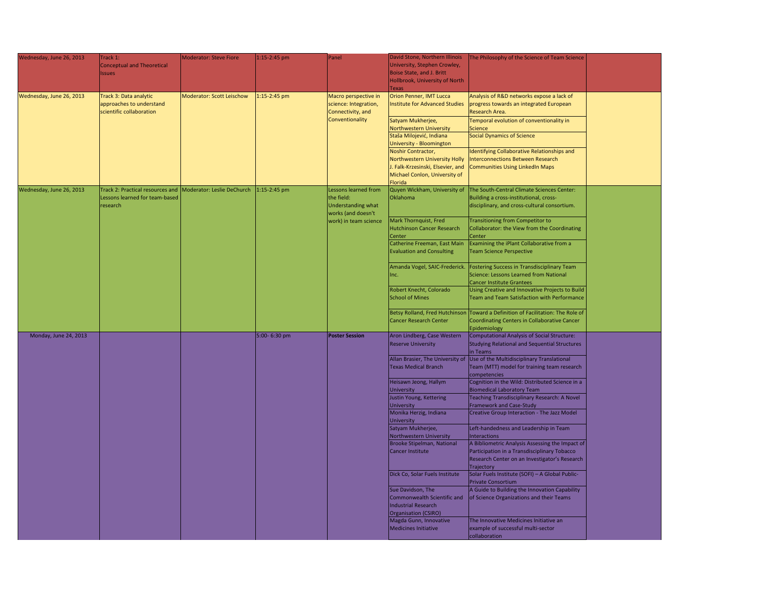| Wednesday, June 26, 2013 | Track 1:<br>Conceptual and Theoretical<br>Issues                                                          | Moderator: Steve Fiore    | $1:15 - 2:45$ pm | Panel                                                                                                   | David Stone, Northern Illinois<br>University, Stephen Crowley,<br>Boise State, and J. Britt<br>Hollbrook, University of North<br>Texas                                                                                                                                                                           | The Philosophy of the Science of Team Science                                                                                                                                                                                                                                                                                                            |  |
|--------------------------|-----------------------------------------------------------------------------------------------------------|---------------------------|------------------|---------------------------------------------------------------------------------------------------------|------------------------------------------------------------------------------------------------------------------------------------------------------------------------------------------------------------------------------------------------------------------------------------------------------------------|----------------------------------------------------------------------------------------------------------------------------------------------------------------------------------------------------------------------------------------------------------------------------------------------------------------------------------------------------------|--|
| Wednesday, June 26, 2013 | Track 3: Data analytic<br>approaches to understand<br>scientific collaboration                            | Moderator: Scott Leischow | $1:15-2:45$ pm   | Macro perspective in<br>science: Integration,<br>Connectivity, and<br><b>Conventionality</b>            | <b>Orion Penner, IMT Lucca</b><br>Institute for Advanced Studies<br>Satyam Mukherjee,<br>Northwestern University<br>Staša Milojević, Indiana<br>University - Bloomington<br>Noshir Contractor,<br>Northwestern University Holly<br>J. Falk-Krzesinski, Elsevier, and<br>Michael Conlon, University of<br>Florida | Analysis of R&D networks expose a lack of<br>progress towards an integrated European<br>Research Area.<br>Temporal evolution of conventionality in<br>Science<br>Social Dynamics of Science<br>Identifying Collaborative Relationships and<br>Interconnections Between Research<br>Communities Using LinkedIn Maps                                       |  |
| Wednesday, June 26, 2013 | Track 2: Practical resources and Moderator: Leslie DeChurch<br>Lessons learned for team-based<br>research |                           | $1:15-2:45$ pm   | Lessons learned from<br>the field:<br>Understanding what<br>works (and doesn't<br>work) in team science | Quyen Wickham, University of<br><b>Oklahoma</b><br>Mark Thornquist, Fred<br>Hutchinson Cancer Research<br><b>Center</b><br><b>Evaluation and Consulting</b>                                                                                                                                                      | The South-Central Climate Sciences Center:<br>Building a cross-institutional, cross-<br>disciplinary, and cross-cultural consortium.<br>Transitioning from Competitor to<br>Collaborator: the View from the Coordinating<br><b>Center</b><br>Catherine Freeman, East Main   Examining the iPlant Collaborative from a<br><b>Team Science Perspective</b> |  |
|                          |                                                                                                           |                           |                  |                                                                                                         | Amanda Vogel, SAIC-Frederick.<br>Inc.<br>Robert Knecht, Colorado<br>School of Mines                                                                                                                                                                                                                              | <b>Fostering Success in Transdisciplinary Team</b><br>Science: Lessons Learned from National<br><b>Cancer Institute Grantees</b><br>Using Creative and Innovative Projects to Build<br>Team and Team Satisfaction with Performance<br>Betsy Rolland, Fred Hutchinson Toward a Definition of Facilitation: The Role of                                    |  |
|                          |                                                                                                           |                           |                  |                                                                                                         | <b>Cancer Research Center</b>                                                                                                                                                                                                                                                                                    | Coordinating Centers in Collaborative Cancer<br>Epidemiology                                                                                                                                                                                                                                                                                             |  |
| Monday, June 24, 2013    |                                                                                                           |                           | 5:00- 6:30 pm    | <b>Poster Session</b>                                                                                   | Aron Lindberg, Case Western<br><b>Reserve University</b><br>Allan Brasier, The University of                                                                                                                                                                                                                     | Computational Analysis of Social Structure:<br><b>Studying Relational and Sequential Structures</b><br>in Teams<br>Use of the Multidisciplinary Translational                                                                                                                                                                                            |  |
|                          |                                                                                                           |                           |                  |                                                                                                         | <b>Texas Medical Branch</b><br>Heisawn Jeong, Hallym                                                                                                                                                                                                                                                             | Team (MTT) model for training team research<br>competencies<br>Cognition in the Wild: Distributed Science in a                                                                                                                                                                                                                                           |  |
|                          |                                                                                                           |                           |                  |                                                                                                         | University<br>Justin Young, Kettering<br>University                                                                                                                                                                                                                                                              | Biomedical Laboratory Team<br>Teaching Transdisciplinary Research: A Novel<br><b>Framework and Case-Study</b>                                                                                                                                                                                                                                            |  |
|                          |                                                                                                           |                           |                  |                                                                                                         | Monika Herzig, Indiana<br>University<br>Satyam Mukherjee,                                                                                                                                                                                                                                                        | <b>Creative Group Interaction - The Jazz Model</b><br>Left-handedness and Leadership in Team                                                                                                                                                                                                                                                             |  |
|                          |                                                                                                           |                           |                  |                                                                                                         | Northwestern University<br>Brooke Stipelman, National<br>Cancer Institute                                                                                                                                                                                                                                        | Interactions<br>A Bibliometric Analysis Assessing the Impact of<br>Participation in a Transdisciplinary Tobacco<br>Research Center on an Investigator's Research                                                                                                                                                                                         |  |
|                          |                                                                                                           |                           |                  |                                                                                                         | Dick Co, Solar Fuels Institute                                                                                                                                                                                                                                                                                   | <b>Trajectory</b><br>Solar Fuels Institute (SOFI) - A Global Public-<br><b>Private Consortium</b>                                                                                                                                                                                                                                                        |  |
|                          |                                                                                                           |                           |                  |                                                                                                         | Sue Davidson, The<br>Commonwealth Scientific and<br>Industrial Research<br>Organisation (CSIRO)                                                                                                                                                                                                                  | A Guide to Building the Innovation Capability<br>of Science Organizations and their Teams                                                                                                                                                                                                                                                                |  |
|                          |                                                                                                           |                           |                  |                                                                                                         | Magda Gunn, Innovative<br>Medicines Initiative                                                                                                                                                                                                                                                                   | The Innovative Medicines Initiative an<br>example of successful multi-sector<br>collaboration                                                                                                                                                                                                                                                            |  |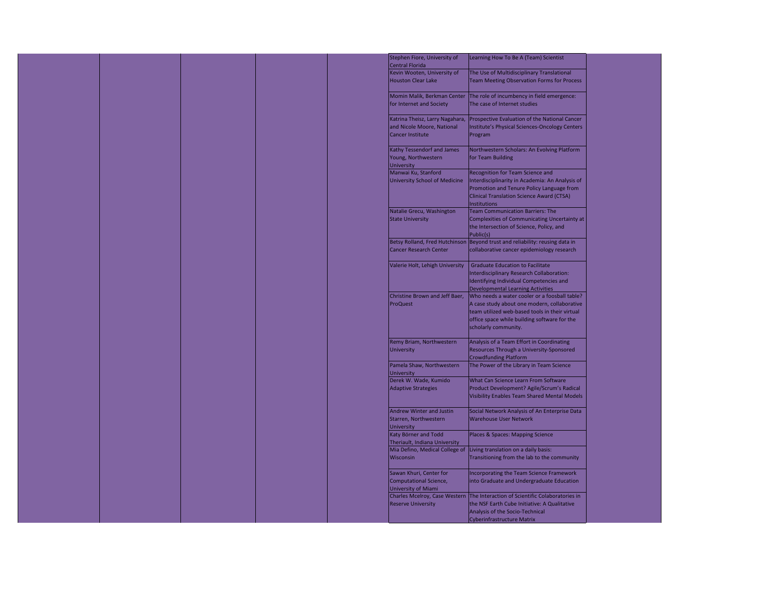

| Stephen Fiore, University of<br><b>Central Florida</b> | Learning How To Be A (Team) Scientist                                          |
|--------------------------------------------------------|--------------------------------------------------------------------------------|
| Kevin Wooten, University of                            | The Use of Multidisciplinary Translational                                     |
| <b>Houston Clear Lake</b>                              | <b>Team Meeting Observation Forms for Process</b>                              |
| Momin Malik, Berkman Center                            | The role of incumbency in field emergence:                                     |
| for Internet and Society                               | The case of Internet studies                                                   |
| Katrina Theisz, Larry Nagahara,                        | <b>Prospective Evaluation of the National Cancer</b>                           |
| and Nicole Moore, National                             | Institute's Physical Sciences-Oncology Centers                                 |
| <b>Cancer Institute</b>                                | Program                                                                        |
| <b>Kathy Tessendorf and James</b>                      | Northwestern Scholars: An Evolving Platform                                    |
| Young, Northwestern<br><b>University</b>               | for Team Building                                                              |
| Manwai Ku, Stanford                                    | Recognition for Team Science and                                               |
|                                                        |                                                                                |
| <b>University School of Medicine</b>                   | Interdisciplinarity in Academia: An Analysis of                                |
|                                                        | Promotion and Tenure Policy Language from                                      |
|                                                        | <b>Clinical Translation Science Award (CTSA)</b>                               |
|                                                        | <b>Institutions</b>                                                            |
| <b>Natalie Grecu, Washington</b>                       | <b>Team Communication Barriers: The</b>                                        |
|                                                        |                                                                                |
| <b>State University</b>                                | Complexities of Communicating Uncertainty at                                   |
|                                                        | the Intersection of Science, Policy, and<br>Public(s)                          |
|                                                        | Betsy Rolland, Fred Hutchinson   Beyond trust and reliability: reusing data in |
| <b>Cancer Research Center</b>                          | collaborative cancer epidemiology research                                     |
| Valerie Holt, Lehigh University                        | <b>Graduate Education to Facilitate</b>                                        |
|                                                        |                                                                                |
|                                                        | Interdisciplinary Research Collaboration:                                      |
|                                                        | Identifying Individual Competencies and                                        |
|                                                        | <b>Developmental Learning Activities</b>                                       |
| Christine Brown and Jeff Baer,                         | Who needs a water cooler or a foosball table?                                  |
| <b>ProQuest</b>                                        | A case study about one modern, collaborative                                   |
|                                                        | team utilized web-based tools in their virtual                                 |
|                                                        |                                                                                |
|                                                        | office space while building software for the                                   |
|                                                        | scholarly community.                                                           |
| <b>Remy Briam, Northwestern</b>                        | Analysis of a Team Effort in Coordinating                                      |
| <b>University</b>                                      | Resources Through a University-Sponsored                                       |
|                                                        |                                                                                |
|                                                        | <b>Crowdfunding Platform</b>                                                   |
| Pamela Shaw, Northwestern<br><b>University</b>         | The Power of the Library in Team Science                                       |
| Derek W. Wade, Kumido                                  | <b>What Can Science Learn From Software</b>                                    |
| <b>Adaptive Strategies</b>                             | Product Development? Agile/Scrum's Radical                                     |
|                                                        | <b>Visibility Enables Team Shared Mental Models</b>                            |
|                                                        |                                                                                |
| <b>Andrew Winter and Justin</b>                        | Social Network Analysis of An Enterprise Data                                  |
| Starren, Northwestern                                  | <b>Warehouse User Network</b>                                                  |
| <b>University</b>                                      |                                                                                |
| Katy Börner and Todd                                   | <b>Places &amp; Spaces: Mapping Science</b>                                    |
|                                                        |                                                                                |
| Theriault, Indiana University                          |                                                                                |
| Mia Defino, Medical College of                         | Living translation on a daily basis:                                           |
| <b>Wisconsin</b>                                       | Transitioning from the lab to the community                                    |
| Sawan Khuri, Center for                                | Incorporating the Team Science Framework                                       |
|                                                        |                                                                                |
| <b>Computational Science,</b>                          | into Graduate and Undergraduate Education                                      |
| <b>University of Miami</b>                             |                                                                                |
| <b>Charles Mcelroy, Case Western</b>                   | The Interaction of Scientific Colaboratories in                                |
| <b>Reserve University</b>                              | the NSF Earth Cube Initiative: A Qualitative                                   |
|                                                        | Analysis of the Socio-Technical                                                |
|                                                        | <b>Cyberinfrastructure Matrix</b>                                              |
|                                                        |                                                                                |